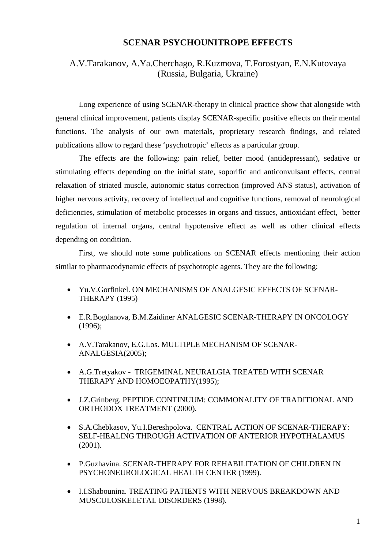## **SCENAR PSYCHOUNITROPE EFFECTS**

## A.V.Tarakanov, A.Ya.Cherchago, R.Kuzmova, T.Forostyan, E.N.Kutovaya (Russia, Bulgaria, Ukraine)

Long experience of using SCENAR-therapy in clinical practice show that alongside with general clinical improvement, patients display SCENAR-specific positive effects on their mental functions. The analysis of our own materials, proprietary research findings, and related publications allow to regard these 'psychotropic' effects as a particular group.

The effects are the following: pain relief, better mood (antidepressant), sedative or stimulating effects depending on the initial state, soporific and anticonvulsant effects, central relaxation of striated muscle, autonomic status correction (improved ANS status), activation of higher nervous activity, recovery of intellectual and cognitive functions, removal of neurological deficiencies, stimulation of metabolic processes in organs and tissues, antioxidant effect, better regulation of internal organs, central hypotensive effect as well as other clinical effects depending on condition.

First, we should note some publications on SCENAR effects mentioning their action similar to pharmacodynamic effects of psychotropic agents. They are the following:

- Yu.V.Gorfinkel. ON MECHANISMS OF ANALGESIC EFFECTS OF SCENAR-THERAPY (1995)
- E.R.Bogdanova, B.M.Zaidiner ANALGESIC SCENAR-THERAPY IN ONCOLOGY (1996);
- A.V.Tarakanov, E.G.Los. MULTIPLE MECHANISM OF SCENAR-ANALGESIA(2005);
- A.G.Tretyakov TRIGEMINAL NEURALGIA TREATED WITH SCENAR THERAPY AND HOMOEOPATHY(1995);
- J.Z.Grinberg. PEPTIDE CONTINUUM: COMMONALITY OF TRADITIONAL AND ORTHODOX TREATMENT (2000).
- S.A.Chebkasov, Yu.I.Bereshpolova. CENTRAL ACTION OF SCENAR-THERAPY: SELF-HEALING THROUGH ACTIVATION OF ANTERIOR HYPOTHALAMUS (2001).
- P.Guzhavina. SCENAR-THERAPY FOR REHABILITATION OF CHILDREN IN PSYCHONEUROLOGICAL HEALTH CENTER (1999).
- I.I.Shabounina. TREATING PATIENTS WITH NERVOUS BREAKDOWN AND MUSCULOSKELETAL DISORDERS (1998).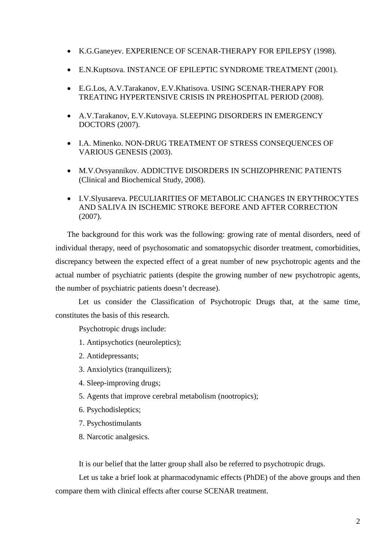- K.G.Ganeyev. EXPERIENCE OF SCENAR-THERAPY FOR EPILEPSY (1998).
- E.N.Kuptsova. INSTANCE OF EPILEPTIC SYNDROME TREATMENT (2001).
- E.G.Los, A.V.Tarakanov, E.V.Khatisova. USING SCENAR-THERAPY FOR TREATING HYPERTENSIVE CRISIS IN PREHOSPITAL PERIOD (2008).
- A.V.Tarakanov, E.V.Kutovaya. SLEEPING DISORDERS IN EMERGENCY DOCTORS (2007).
- I.A. Minenko. NON-DRUG TREATMENT OF STRESS CONSEQUENCES OF VARIOUS GENESIS (2003).
- M.V.Ovsyannikov. ADDICTIVE DISORDERS IN SCHIZOPHRENIC PATIENTS (Clinical and Biochemical Study, 2008).
- I.V.Slyusareva. PECULIARITIES OF METABOLIC CHANGES IN ERYTHROCYTES AND SALIVA IN ISCHEMIC STROKE BEFORE AND AFTER CORRECTION (2007).

The background for this work was the following: growing rate of mental disorders, need of individual therapy, need of psychosomatic and somatopsychic disorder treatment, comorbidities, discrepancy between the expected effect of a great number of new psychotropic agents and the actual number of psychiatric patients (despite the growing number of new psychotropic agents, the number of psychiatric patients doesn't decrease).

Let us consider the Classification of Psychotropic Drugs that, at the same time, constitutes the basis of this research.

Psychotropic drugs include:

- 1. Antipsychotics (neuroleptics);
- 2. Antidepressants;
- 3. Anxiolytics (tranquilizers);
- 4. Sleep-improving drugs;
- 5. Agents that improve cerebral metabolism (nootropics);
- 6. Psychodisleptics;
- 7. Psychostimulants
- 8. Narcotic analgesics.

It is our belief that the latter group shall also be referred to psychotropic drugs.

Let us take a brief look at pharmacodynamic effects (PhDE) of the above groups and then compare them with clinical effects after course SCENAR treatment.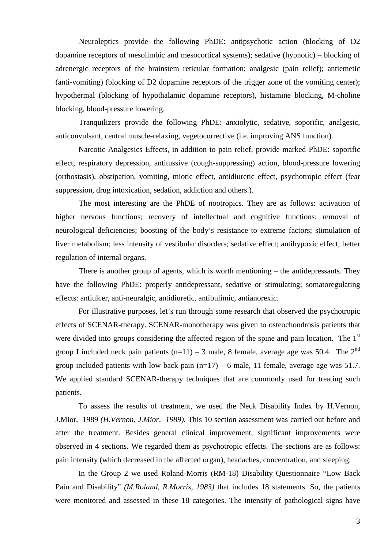Neuroleptics provide the following PhDE: antipsychotic action (blocking of D2 dopamine receptors of mesolimbic and mesocortical systems); sedative (hypnotic) – blocking of adrenergic receptors of the brainstem reticular formation; analgesic (pain relief); antiemetic (anti-vomiting) (blocking of D2 dopamine receptors of the trigger zone of the vomiting center); hypothermal (blocking of hypothalamic dopamine receptors), histamine blocking, M-choline blocking, blood-pressure lowering.

Tranquilizers provide the following PhDE: anxiolytic, sedative, soporific, analgesic, anticonvulsant, central muscle-relaxing, vegetocorrective (i.e. improving ANS function).

Narcotic Analgesics Effects, in addition to pain relief, provide marked PhDE: soporific effect, respiratory depression, antitussive (cough-suppressing) action, blood-pressure lowering (orthostasis), obstipation, vomiting, miotic effect, antidiuretic effect, psychotropic effect (fear suppression, drug intoxication, sedation, addiction and others.).

The most interesting are the PhDE of nootropics. They are as follows: activation of higher nervous functions; recovery of intellectual and cognitive functions; removal of neurological deficiencies; boosting of the body's resistance to extreme factors; stimulation of liver metabolism; less intensity of vestibular disorders; sedative effect; antihypoxic effect; better regulation of internal organs.

There is another group of agents, which is worth mentioning – the antidepressants. They have the following PhDE: properly antidepressant, sedative or stimulating; somatoregulating effects: antiulcer, anti-neuralgic, antidiuretic, antibulimic, antianorexic.

For illustrative purposes, let's run through some research that observed the psychotropic effects of SCENAR-therapy. SCENAR-monotherapy was given to osteochondrosis patients that were divided into groups considering the affected region of the spine and pain location. The 1<sup>st</sup> group I included neck pain patients  $(n=11) - 3$  male, 8 female, average age was 50.4. The 2<sup>nd</sup> group included patients with low back pain  $(n=17) - 6$  male, 11 female, average age was 51.7. We applied standard SCENAR-therapy techniques that are commonly used for treating such patients.

To assess the results of treatment, we used the Neck Disability Index by H.Vernon, J.Mior, 1989 *(H.Vernon, J.Mior, 1989)*. This 10 section assessment was carried out before and after the treatment. Besides general clinical improvement, significant improvements were observed in 4 sections. We regarded them as psychotropic effects. The sections are as follows: pain intensity (which decreased in the affected organ), headaches, concentration, and sleeping.

In the Group 2 we used Roland-Morris (RM-18) Disability Questionnaire "Low Back Pain and Disability" *(M.Roland, R.Morris, 1983)* that includes 18 statements. So, the patients were monitored and assessed in these 18 categories. The intensity of pathological signs have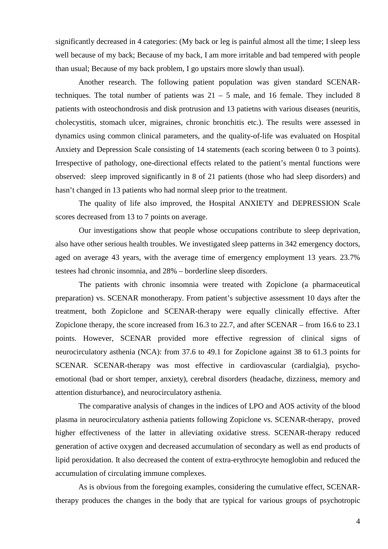significantly decreased in 4 categories: (My back or leg is painful almost all the time; I sleep less well because of my back; Because of my back, I am more irritable and bad tempered with people than usual; Because of my back problem, I go upstairs more slowly than usual).

Another research. The following patient population was given standard SCENARtechniques. The total number of patients was  $21 - 5$  male, and 16 female. They included 8 patients with osteochondrosis and disk protrusion and 13 patietns with various diseases (neuritis, cholecystitis, stomach ulcer, migraines, chronic bronchitis etc.). The results were assessed in dynamics using common clinical parameters, and the quality-of-life was evaluated on Hospital Anxiety and Depression Scale consisting of 14 statements (each scoring between 0 to 3 points). Irrespective of pathology, one-directional effects related to the patient's mental functions were observed: sleep improved significantly in 8 of 21 patients (those who had sleep disorders) and hasn't changed in 13 patients who had normal sleep prior to the treatment.

The quality of life also improved, the Hospital ANXIETY and DEPRESSION Scale scores decreased from 13 to 7 points on average.

Our investigations show that people whose occupations contribute to sleep deprivation, also have other serious health troubles. We investigated sleep patterns in 342 emergency doctors, aged on average 43 years, with the average time of emergency employment 13 years. 23.7% testees had chronic insomnia, and 28% – borderline sleep disorders.

The patients with chronic insomnia were treated with Zopiclone (a pharmaceutical preparation) vs. SCENAR monotherapy. From patient's subjective assessment 10 days after the treatment, both Zopiclone and SCENAR-therapy were equally clinically effective. After Zopiclone therapy, the score increased from 16.3 to 22.7, and after SCENAR – from 16.6 to 23.1 points. However, SCENAR provided more effective regression of clinical signs of neurocirculatory asthenia (NCA): from 37.6 to 49.1 for Zopiclone against 38 to 61.3 points for SCENAR. SCENAR-therapy was most effective in cardiovascular (cardialgia), psychoemotional (bad or short temper, anxiety), cerebral disorders (headache, dizziness, memory and attention disturbance), and neurocirculatory asthenia.

The comparative analysis of changes in the indices of LPO and AOS activity of the blood plasma in neurocirculatory asthenia patients following Zopiclone vs. SCENAR-therapy, proved higher effectiveness of the latter in alleviating oxidative stress. SCENAR-therapy reduced generation of active oxygen and decreased accumulation of secondary as well as end products of lipid peroxidation. It also decreased the content of extra-erythrocyte hemoglobin and reduced the accumulation of circulating immune complexes.

As is obvious from the foregoing examples, considering the cumulative effect, SCENARtherapy produces the changes in the body that are typical for various groups of psychotropic